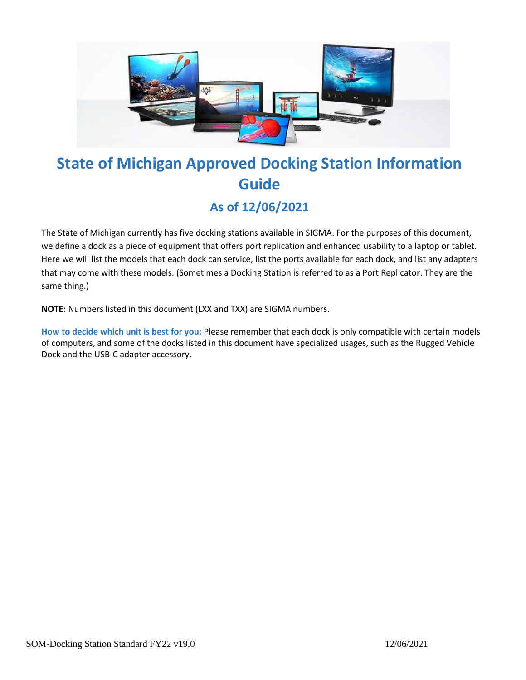

# **State of Michigan Approved Docking Station Information Guide**

# **As of 12/06/2021**

The State of Michigan currently has five docking stations available in SIGMA. For the purposes of this document, we define a dock as a piece of equipment that offers port replication and enhanced usability to a laptop or tablet. Here we will list the models that each dock can service, list the ports available for each dock, and list any adapters that may come with these models. (Sometimes a Docking Station is referred to as a Port Replicator. They are the same thing.)

**NOTE:** Numbers listed in this document (LXX and TXX) are SIGMA numbers.

**How to decide which unit is best for you:** Please remember that each dock is only compatible with certain models of computers, and some of the docks listed in this document have specialized usages, such as the Rugged Vehicle Dock and the USB-C adapter accessory.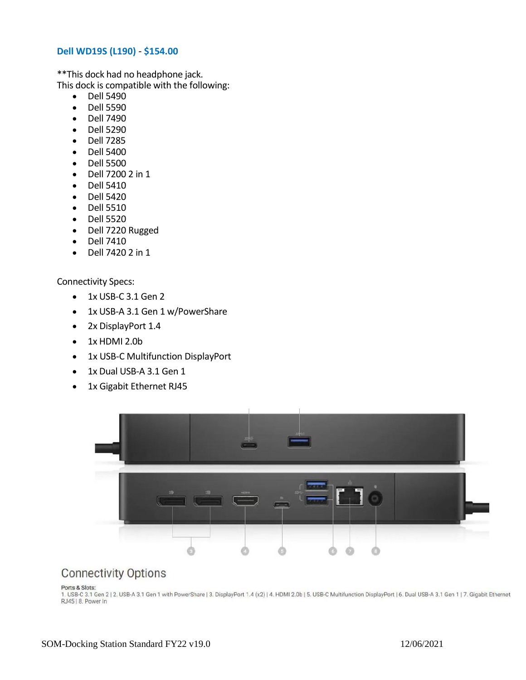#### **Dell WD19S (L190)** - **\$154.00**

\*\*This dock had no headphone jack. This dock is compatible with the following:

- Dell 5490
- Dell 5590
- Dell 7490
- Dell 5290
- Dell 7285
- Dell 5400
- Dell 5500
- Dell 7200 2 in 1
- Dell 5410
- Dell 5420
- Dell 5510
- Dell 5520
- Dell 7220 Rugged
- Dell 7410
- Dell 7420 2 in 1

Connectivity Specs:

- 1x USB-C 3.1 Gen 2
- 1x USB-A 3.1 Gen 1 w/PowerShare
- 2x DisplayPort 1.4
- 1x HDMI 2.0b
- 1x USB-C Multifunction DisplayPort
- 1x Dual USB-A 3.1 Gen 1
- 1x Gigabit Ethernet RJ45



### **Connectivity Options**

Ports & Slots:

1. USB-C 3.1 Gen 2 | 2. USB-A 3.1 Gen 1 with PowerShare | 3. DisplayPort 1.4 (x2) | 4. HDMI 2.0b | 5. USB-C Multifunction DisplayPort | 6. Dual USB-A 3.1 Gen 1 | 7. Gigabit Ethernet RJ45 | 8. Power In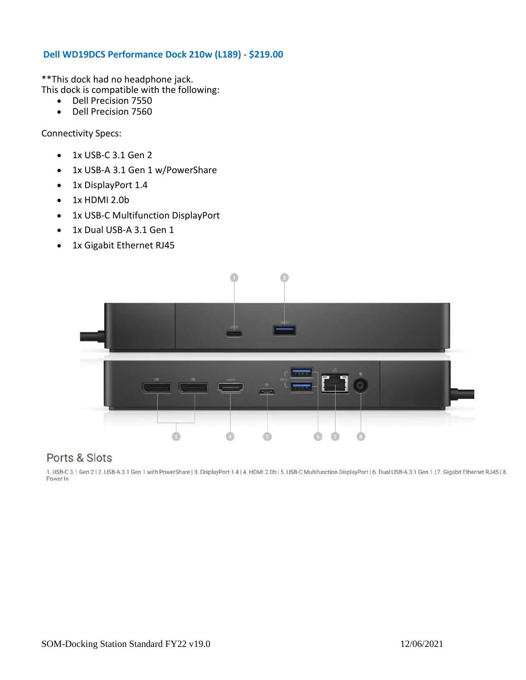#### **Dell WD19DCS Performance Dock 210w (L189)** - **\$219.00**

\*\*This dock had no headphone jack. This dock is compatible with the following:

- Dell Precision 7550
- Dell Precision 7560

Connectivity Specs:

- 1x USB-C 3.1 Gen 2
- 1x USB-A 3.1 Gen 1 w/PowerShare
- 1x DisplayPort 1.4
- 1x HDMI 2.0b
- 1x USB-C Multifunction DisplayPort
- 1x Dual USB-A 3.1 Gen 1
- 1x Gigabit Ethernet RJ45



## Ports & Slots

1. USB-C 3.1 Gen 2 | 2. USB-A 3.1 Gen 1 with PowerShare | 3. DisplayPort 1.4 | 4. HDMI 2.0b | 5. USB-C Multifunction DisplayPort | 6. Dual USB-A 3.1 Gen 1 | 7. Gigabit Ethernet RJ45 | 8. Power In